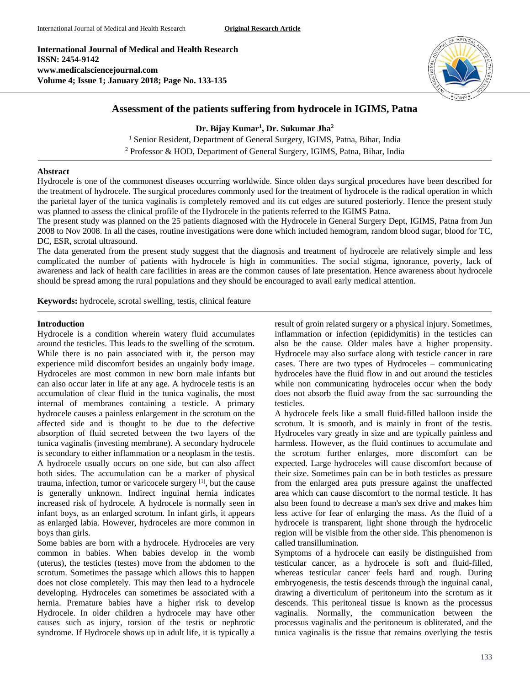**International Journal of Medical and Health Research ISSN: 2454-9142 www.medicalsciencejournal.com Volume 4; Issue 1; January 2018; Page No. 133-135**



# **Assessment of the patients suffering from hydrocele in IGIMS, Patna**

**Dr. Bijay Kumar<sup>1</sup> , Dr. Sukumar Jha<sup>2</sup>**

<sup>1</sup> Senior Resident, Department of General Surgery, IGIMS, Patna, Bihar, India <sup>2</sup> Professor & HOD, Department of General Surgery, IGIMS, Patna, Bihar, India

### **Abstract**

Hydrocele is one of the commonest diseases occurring worldwide. Since olden days surgical procedures have been described for the treatment of hydrocele. The surgical procedures commonly used for the treatment of hydrocele is the radical operation in which the parietal layer of the tunica vaginalis is completely removed and its cut edges are sutured posteriorly. Hence the present study was planned to assess the clinical profile of the Hydrocele in the patients referred to the IGIMS Patna.

The present study was planned on the 25 patients diagnosed with the Hydrocele in General Surgery Dept, IGIMS, Patna from Jun 2008 to Nov 2008. In all the cases, routine investigations were done which included hemogram, random blood sugar, blood for TC, DC, ESR, scrotal ultrasound.

The data generated from the present study suggest that the diagnosis and treatment of hydrocele are relatively simple and less complicated the number of patients with hydrocele is high in communities. The social stigma, ignorance, poverty, lack of awareness and lack of health care facilities in areas are the common causes of late presentation. Hence awareness about hydrocele should be spread among the rural populations and they should be encouraged to avail early medical attention.

**Keywords:** hydrocele, scrotal swelling, testis, clinical feature

### **Introduction**

Hydrocele is a condition wherein watery fluid accumulates around the testicles. This leads to the swelling of the scrotum. While there is no pain associated with it, the person may experience mild discomfort besides an ungainly body image. Hydroceles are most common in new born male infants but can also occur later in life at any age. A hydrocele testis is an accumulation of clear fluid in the tunica vaginalis, the most internal of membranes containing a testicle. A primary hydrocele causes a painless enlargement in the scrotum on the affected side and is thought to be due to the defective absorption of fluid secreted between the two layers of the tunica vaginalis (investing membrane). A secondary hydrocele is secondary to either inflammation or a neoplasm in the testis. A hydrocele usually occurs on one side, but can also affect both sides. The accumulation can be a marker of physical trauma, infection, tumor or varicocele surgery [1] , but the cause is generally unknown. Indirect inguinal hernia indicates increased risk of hydrocele. A hydrocele is normally seen in infant boys, as an enlarged scrotum. In infant girls, it appears as enlarged labia. However, hydroceles are more common in boys than girls.

Some babies are born with a hydrocele. Hydroceles are very common in babies. When babies develop in the womb (uterus), the testicles (testes) move from the abdomen to the scrotum. Sometimes the passage which allows this to happen does not close completely. This may then lead to a hydrocele developing. Hydroceles can sometimes be associated with a hernia. Premature babies have a higher risk to develop Hydrocele. In older children a hydrocele may have other causes such as injury, torsion of the testis or nephrotic syndrome. If Hydrocele shows up in adult life, it is typically a result of groin related surgery or a physical injury. Sometimes, inflammation or infection (epididymitis) in the testicles can also be the cause. Older males have a higher propensity. Hydrocele may also surface along with testicle cancer in rare cases. There are two types of Hydroceles – communicating hydroceles have the fluid flow in and out around the testicles while non communicating hydroceles occur when the body does not absorb the fluid away from the sac surrounding the testicles.

A hydrocele feels like a small fluid-filled balloon inside the scrotum. It is smooth, and is mainly in front of the testis. Hydroceles vary greatly in size and are typically painless and harmless. However, as the fluid continues to accumulate and the scrotum further enlarges, more discomfort can be expected. Large hydroceles will cause discomfort because of their size. Sometimes pain can be in both testicles as pressure from the enlarged area puts pressure against the unaffected area which can cause discomfort to the normal testicle. It has also been found to decrease a man's sex drive and makes him less active for fear of enlarging the mass. As the fluid of a hydrocele is transparent, light shone through the hydrocelic region will be visible from the other side. This phenomenon is called transillumination.

Symptoms of a hydrocele can easily be distinguished from testicular cancer, as a hydrocele is soft and fluid-filled, whereas testicular cancer feels hard and rough. During embryogenesis, the testis descends through the inguinal canal, drawing a diverticulum of peritoneum into the scrotum as it descends. This peritoneal tissue is known as the processus vaginalis. Normally, the communication between the processus vaginalis and the peritoneum is obliterated, and the tunica vaginalis is the tissue that remains overlying the testis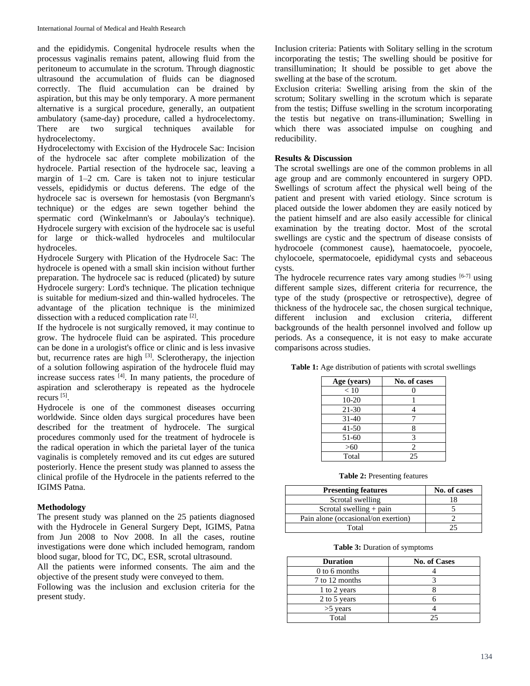and the epididymis. Congenital hydrocele results when the processus vaginalis remains patent, allowing fluid from the peritoneum to accumulate in the scrotum. Through diagnostic ultrasound the accumulation of fluids can be diagnosed correctly. The fluid accumulation can be drained by aspiration, but this may be only temporary. A more permanent alternative is a surgical procedure, generally, an outpatient ambulatory (same-day) procedure, called a hydrocelectomy. There are two surgical techniques available for hydrocelectomy.

Hydrocelectomy with Excision of the Hydrocele Sac: Incision of the hydrocele sac after complete mobilization of the hydrocele. Partial resection of the hydrocele sac, leaving a margin of 1–2 cm. Care is taken not to injure testicular vessels, epididymis or ductus deferens. The edge of the hydrocele sac is oversewn for hemostasis (von Bergmann's technique) or the edges are sewn together behind the spermatic cord (Winkelmann's or Jaboulay's technique). Hydrocele surgery with excision of the hydrocele sac is useful for large or thick-walled hydroceles and multilocular hydroceles.

Hydrocele Surgery with Plication of the Hydrocele Sac: The hydrocele is opened with a small skin incision without further preparation. The hydrocele sac is reduced (plicated) by suture Hydrocele surgery: Lord's technique. The plication technique is suitable for medium-sized and thin-walled hydroceles. The advantage of the plication technique is the minimized dissection with a reduced complication rate [2].

If the hydrocele is not surgically removed, it may continue to grow. The hydrocele fluid can be aspirated. This procedure can be done in a urologist's office or clinic and is less invasive but, recurrence rates are high <sup>[3]</sup>. Sclerotherapy, the injection of a solution following aspiration of the hydrocele fluid may increase success rates [4] . In many patients, the procedure of aspiration and sclerotherapy is repeated as the hydrocele recurs<sup>[5]</sup>.

Hydrocele is one of the commonest diseases occurring worldwide. Since olden days surgical procedures have been described for the treatment of hydrocele. The surgical procedures commonly used for the treatment of hydrocele is the radical operation in which the parietal layer of the tunica vaginalis is completely removed and its cut edges are sutured posteriorly. Hence the present study was planned to assess the clinical profile of the Hydrocele in the patients referred to the IGIMS Patna.

### **Methodology**

The present study was planned on the 25 patients diagnosed with the Hydrocele in General Surgery Dept, IGIMS, Patna from Jun 2008 to Nov 2008. In all the cases, routine investigations were done which included hemogram, random blood sugar, blood for TC, DC, ESR, scrotal ultrasound.

All the patients were informed consents. The aim and the objective of the present study were conveyed to them.

Following was the inclusion and exclusion criteria for the present study.

Inclusion criteria: Patients with Solitary selling in the scrotum incorporating the testis; The swelling should be positive for transillumination; It should be possible to get above the swelling at the base of the scrotum.

Exclusion criteria: Swelling arising from the skin of the scrotum; Solitary swelling in the scrotum which is separate from the testis; Diffuse swelling in the scrotum incorporating the testis but negative on trans-illumination; Swelling in which there was associated impulse on coughing and reducibility.

## **Results & Discussion**

The scrotal swellings are one of the common problems in all age group and are commonly encountered in surgery OPD. Swellings of scrotum affect the physical well being of the patient and present with varied etiology. Since scrotum is placed outside the lower abdomen they are easily noticed by the patient himself and are also easily accessible for clinical examination by the treating doctor. Most of the scrotal swellings are cystic and the spectrum of disease consists of hydrocoele (commonest cause), haematocoele, pyocoele, chylocoele, spermatocoele, epididymal cysts and sebaceous cysts.

The hydrocele recurrence rates vary among studies  $[6-7]$  using different sample sizes, different criteria for recurrence, the type of the study (prospective or retrospective), degree of thickness of the hydrocele sac, the chosen surgical technique, different inclusion and exclusion criteria, different backgrounds of the health personnel involved and follow up periods. As a consequence, it is not easy to make accurate comparisons across studies.

| Age (years) | No. of cases   |
|-------------|----------------|
| < 10        |                |
| $10 - 20$   |                |
| $21 - 30$   |                |
| $31 - 40$   |                |
| $41 - 50$   | 8              |
| 51-60       | 3              |
| >60         | $\mathfrak{D}$ |
| Total       | 25             |

**Table 1:** Age distribution of patients with scrotal swellings

**Table 2:** Presenting features

| <b>Presenting features</b>          | No. of cases |
|-------------------------------------|--------------|
| Scrotal swelling                    |              |
| Scrotal swelling $+$ pain           |              |
| Pain alone (occasional/on exertion) |              |
| Total                               |              |

**Table 3:** Duration of symptoms

| <b>Duration</b> | <b>No. of Cases</b> |
|-----------------|---------------------|
| 0 to 6 months   |                     |
| 7 to 12 months  |                     |
| 1 to 2 years    |                     |
| 2 to 5 years    |                     |
| $>5$ years      |                     |
| Total           | つち                  |